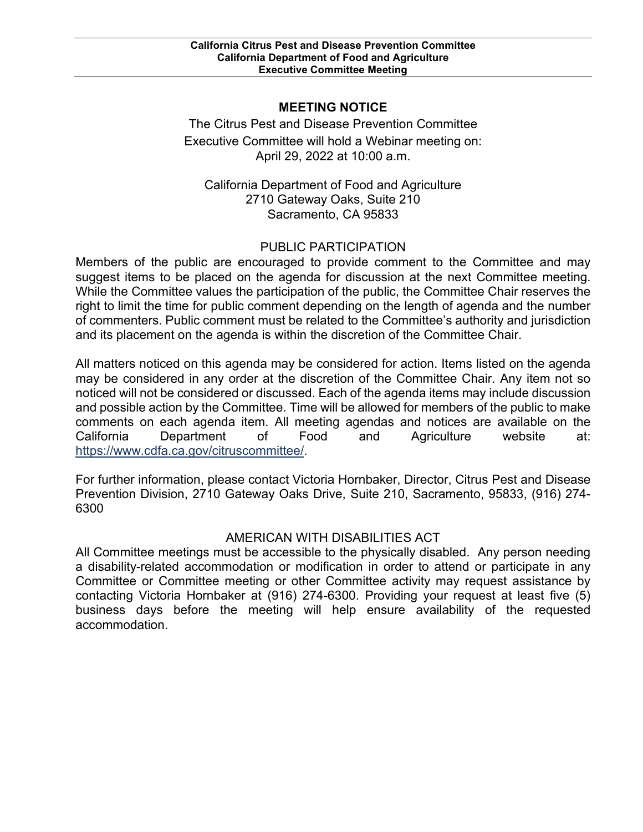## **MEETING NOTICE**

 April 29, 2022 at 10:00 a.m. The Citrus Pest and Disease Prevention Committee Executive Committee will hold a Webinar meeting on:

California Department of Food and Agriculture 2710 Gateway Oaks, Suite 210 Sacramento, CA 95833

# PUBLIC PARTICIPATION

 Members of the public are encouraged to provide comment to the Committee and may of commenters. Public comment must be related to the Committee's authority and jurisdiction suggest items to be placed on the agenda for discussion at the next Committee meeting. While the Committee values the participation of the public, the Committee Chair reserves the right to limit the time for public comment depending on the length of agenda and the number and its placement on the agenda is within the discretion of the Committee Chair.

 All matters noticed on this agenda may be considered for action. Items listed on the agenda may be considered in any order at the discretion of the Committee Chair. Any item not so noticed will not be considered or discussed. Each of the agenda items may include discussion and possible action by the Committee. Time will be allowed for members of the public to make comments on each agenda item. All meeting agendas and notices are available on the California Department of Food and Agriculture website at: [https://www.cdfa.ca.gov/citruscommittee/.](https://www.cdfa.ca.gov/citruscommittee/)

 Prevention Division, 2710 Gateway Oaks Drive, Suite 210, Sacramento, 95833, (916) 274- For further information, please contact Victoria Hornbaker, Director, Citrus Pest and Disease 6300

## AMERICAN WITH DISABILITIES ACT

 Committee or Committee meeting or other Committee activity may request assistance by contacting Victoria Hornbaker at (916) 274-6300. Providing your request at least five (5) All Committee meetings must be accessible to the physically disabled. Any person needing a disability-related accommodation or modification in order to attend or participate in any business days before the meeting will help ensure availability of the requested accommodation.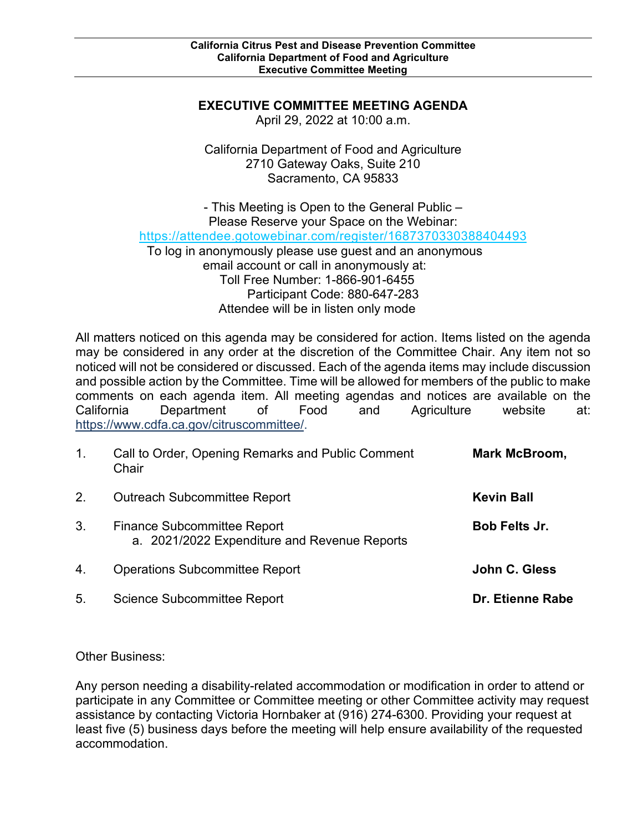### **EXECUTIVE COMMITTEE MEETING AGENDA**

April 29, 2022 at 10:00 a.m.

California Department of Food and Agriculture 2710 Gateway Oaks, Suite 210 Sacramento, CA 95833

 To log in anonymously please use guest and an anonymous email account or call in anonymously at: - This Meeting is Open to the General Public – Please Reserve your Space on the Webinar: <https://attendee.gotowebinar.com/register/1687370330388404493> Toll Free Number: 1-866-901-6455 Participant Code: 880-647-283 Attendee will be in listen only mode

 All matters noticed on this agenda may be considered for action. Items listed on the agenda may be considered in any order at the discretion of the Committee Chair. Any item not so noticed will not be considered or discussed. Each of the agenda items may include discussion and possible action by the Committee. Time will be allowed for members of the public to make comments on each agenda item. All meeting agendas and notices are available on the California Department of Food and Agriculture website at: [https://www.cdfa.ca.gov/citruscommittee/.](https://www.cdfa.ca.gov/citruscommittee/)

| $\mathbf{1}$ . | Call to Order, Opening Remarks and Public Comment<br>Chair                         | Mark McBroom,        |
|----------------|------------------------------------------------------------------------------------|----------------------|
| 2.             | <b>Outreach Subcommittee Report</b>                                                | <b>Kevin Ball</b>    |
| 3.             | <b>Finance Subcommittee Report</b><br>a. 2021/2022 Expenditure and Revenue Reports | <b>Bob Felts Jr.</b> |
| 4.             | <b>Operations Subcommittee Report</b>                                              | John C. Gless        |
| 5.             | <b>Science Subcommittee Report</b>                                                 | Dr. Etienne Rabe     |

Other Business:

 assistance by contacting Victoria Hornbaker at (916) 274-6300. Providing your request at Any person needing a disability-related accommodation or modification in order to attend or participate in any Committee or Committee meeting or other Committee activity may request least five (5) business days before the meeting will help ensure availability of the requested accommodation.